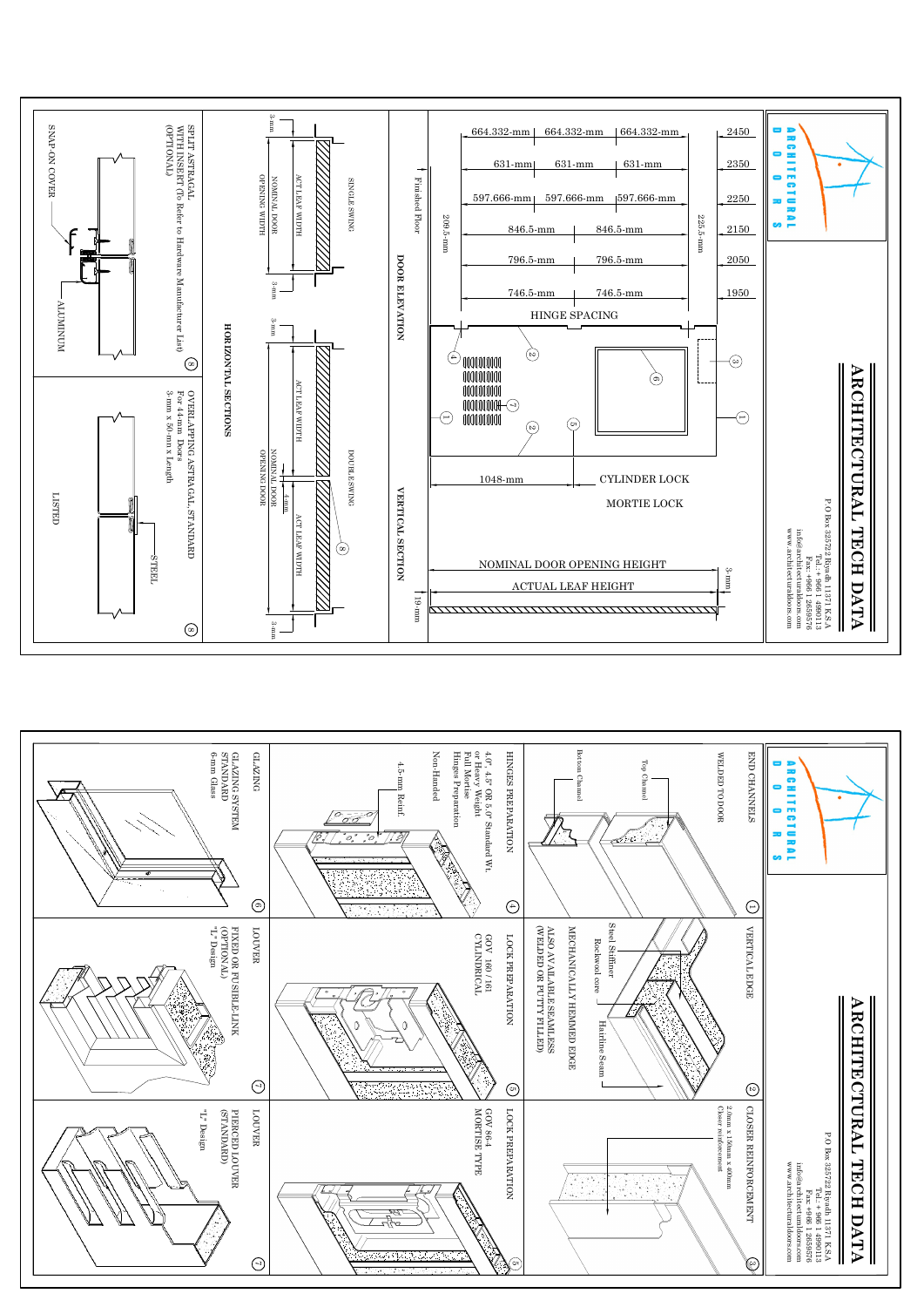